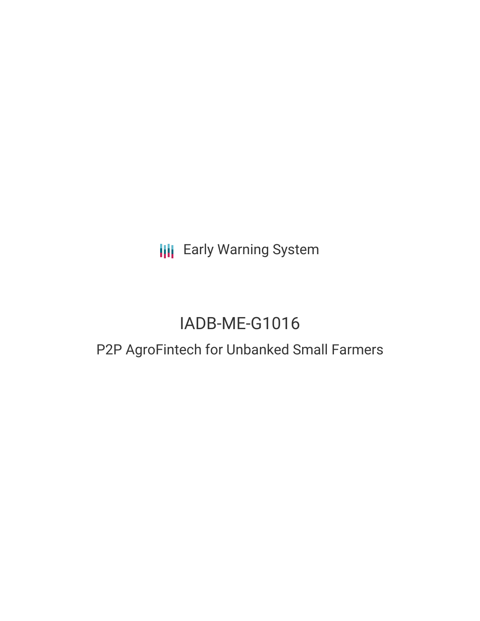**III** Early Warning System

# IADB-ME-G1016

# P2P AgroFintech for Unbanked Small Farmers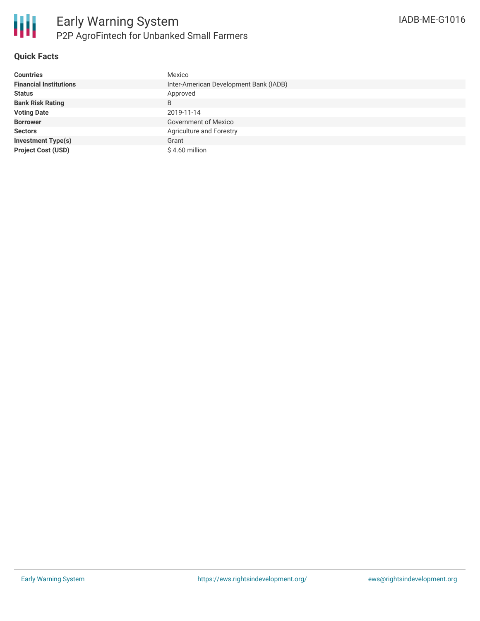

## **Quick Facts**

| <b>Countries</b>              | Mexico                                 |
|-------------------------------|----------------------------------------|
| <b>Financial Institutions</b> | Inter-American Development Bank (IADB) |
| <b>Status</b>                 | Approved                               |
| <b>Bank Risk Rating</b>       | B                                      |
| <b>Voting Date</b>            | 2019-11-14                             |
| <b>Borrower</b>               | Government of Mexico                   |
| <b>Sectors</b>                | Agriculture and Forestry               |
| <b>Investment Type(s)</b>     | Grant                                  |
| <b>Project Cost (USD)</b>     | $$4.60$ million                        |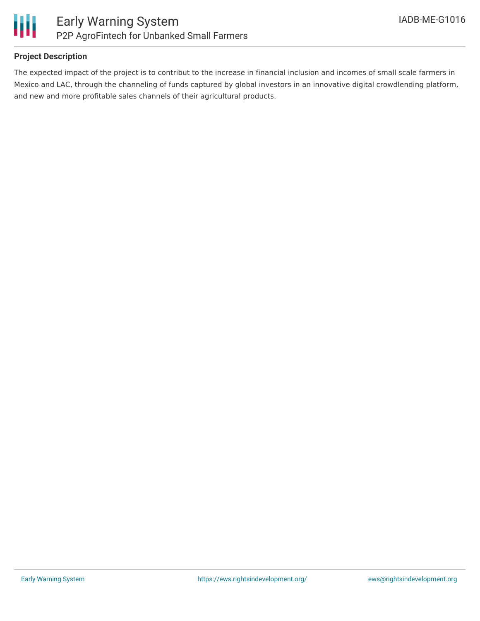

### **Project Description**

The expected impact of the project is to contribut to the increase in financial inclusion and incomes of small scale farmers in Mexico and LAC, through the channeling of funds captured by global investors in an innovative digital crowdlending platform, and new and more profitable sales channels of their agricultural products.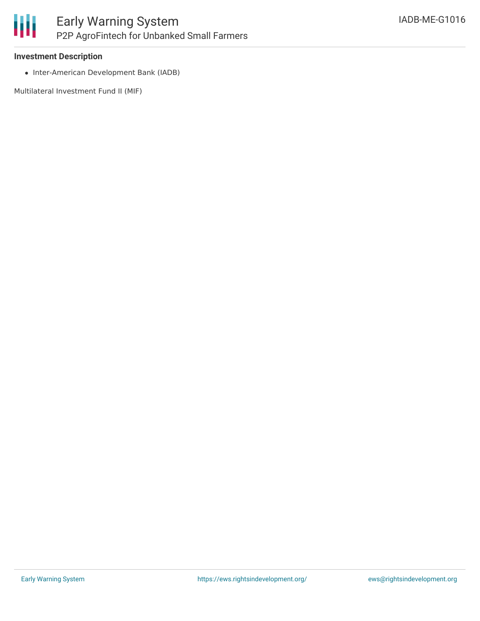#### **Investment Description**

• Inter-American Development Bank (IADB)

Multilateral Investment Fund II (MIF)